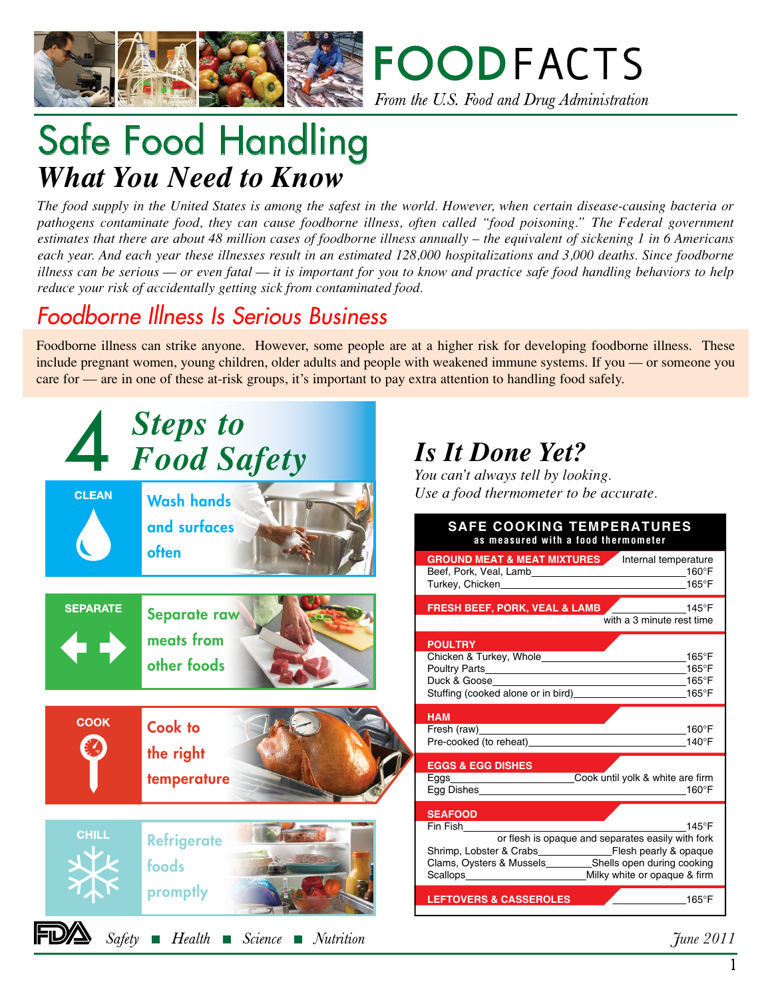



# Safe Food Handling *What You Need to Know*

*The food supply in the United States is among the safest in the world. However, when certain disease-causing bacteria or pathogens contaminate food, they can cause foodborne illness, often called "food poisoning." The Federal government estimates that there are about 48 million cases of foodborne illness annually – the equivalent of sickening 1 in 6 Americans each year. And each year these illnesses result in an estimated 128,000 hospitalizations and 3,000 deaths. Since foodborne illness can be serious — or even fatal — it is important for you to know and practice safe food handling behaviors to help reduce your risk of accidentally getting sick from contaminated food.*

## *Foodborne Illness Is Serious Business*

Foodborne illness can strike anyone. However, some people are at a higher risk for developing foodborne illness. These include pregnant women, young children, older adults and people with weakened immune systems. If you — or someone you care for — are in one of these at-risk groups, it's important to pay extra attention to handling food safely.